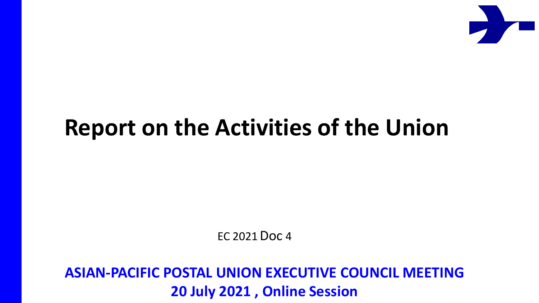

# **Report on the Activities of the Union**

EC 2021 Doc 4

**ASIAN-PACIFIC POSTAL UNION EXECUTIVE COUNCIL MEETING 20 July 2021 , Online Session**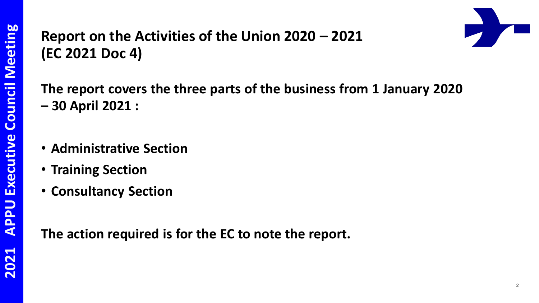#### **Report on the Activities of the Union 2020 – 2021 (EC 2021 Doc 4)**



**The report covers the three parts of the business from 1 January 2020 – 30 April 2021 :** 

- **Administrative Section**
- **Training Section**
- **Consultancy Section**

**The action required is for the EC to note the report.**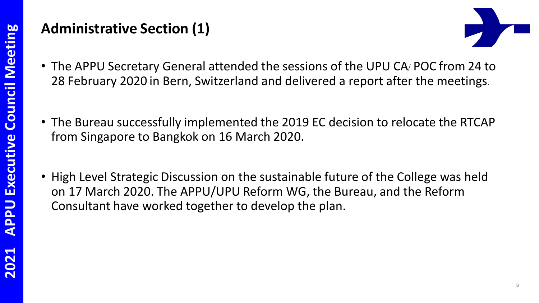#### **Administrative Section (1)**



- The APPU Secretary General attended the sessions of the UPU CA/ POC from 24 to 28 February 2020 in Bern, Switzerland and delivered a report after the meetings.
- The Bureau successfully implemented the 2019 EC decision to relocate the RTCAP from Singapore to Bangkok on 16 March 2020.
- High Level Strategic Discussion on the sustainable future of the College was held on 17 March 2020. The APPU/UPU Reform WG, the Bureau, and the Reform Consultant have worked together to develop the plan.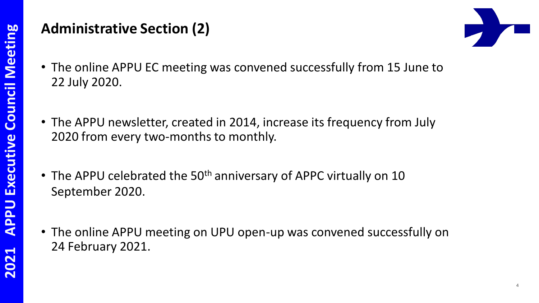#### **Administrative Section (2)**



- The online APPU EC meeting was convened successfully from 15 June to 22 July 2020.
- The APPU newsletter, created in 2014, increase its frequency from July 2020 from every two-months to monthly.
- The APPU celebrated the 50<sup>th</sup> anniversary of APPC virtually on 10 September 2020.
- The online APPU meeting on UPU open-up was convened successfully on 24 February 2021.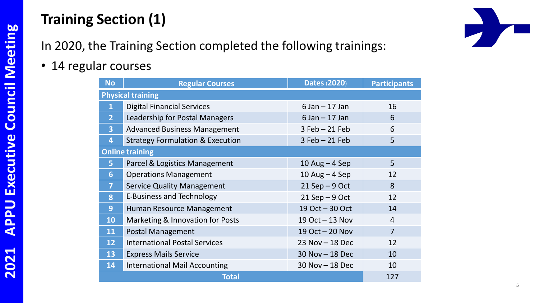### **Training Section (1)**

5

In 2020, the Training Section completed the following trainings:

• 14 regular courses

| No.                      | <b>Regular Courses</b>                      | <b>Dates (2020)</b> | <b>Participants</b> |
|--------------------------|---------------------------------------------|---------------------|---------------------|
| <b>Physical training</b> |                                             |                     |                     |
| $\mathbf{1}$             | <b>Digital Financial Services</b>           | $6$ Jan $-$ 17 Jan  | 16                  |
| $\overline{2}$           | Leadership for Postal Managers              | $6$ Jan $-$ 17 Jan  | 6                   |
| $\overline{3}$           | <b>Advanced Business Management</b>         | $3$ Feb $-21$ Feb   | 6                   |
| 4                        | <b>Strategy Formulation &amp; Execution</b> | $3$ Feb $-21$ Feb   | 5                   |
| <b>Online training</b>   |                                             |                     |                     |
| 5                        | Parcel & Logistics Management               | 10 Aug $-$ 4 Sep    | 5                   |
| 6                        | <b>Operations Management</b>                | 10 Aug $-$ 4 Sep    | 12                  |
| $\overline{\mathbf{z}}$  | <b>Service Quality Management</b>           | $21$ Sep $-9$ Oct   | 8                   |
| 8                        | <b>E-Business and Technology</b>            | $21$ Sep $-9$ Oct   | 12                  |
| 9                        | Human Resource Management                   | 19 Oct - 30 Oct     | 14                  |
| 10                       | Marketing & Innovation for Posts            | 19 Oct - 13 Nov     | $\overline{4}$      |
| 11                       | <b>Postal Management</b>                    | 19 Oct - 20 Nov     | $\overline{7}$      |
| 12                       | <b>International Postal Services</b>        | 23 Nov - 18 Dec     | 12                  |
| 13                       | <b>Express Mails Service</b>                | $30$ Nov $-$ 18 Dec | 10                  |
| 14                       | <b>International Mail Accounting</b>        | 30 Nov - 18 Dec     | 10                  |
| <b>Total</b>             |                                             |                     | 127                 |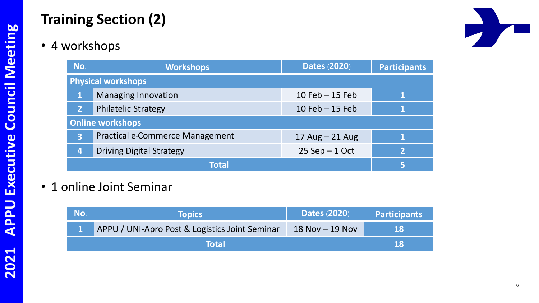## **Training Section (2)**

• 4 workshops

| No.                       | <b>Workshops</b>                | <b>Dates (2020)</b> | <b>Participants</b> |
|---------------------------|---------------------------------|---------------------|---------------------|
| <b>Physical workshops</b> |                                 |                     |                     |
|                           | <b>Managing Innovation</b>      | $10$ Feb $-15$ Feb  |                     |
| 2 <sup>1</sup>            | <b>Philatelic Strategy</b>      | $10$ Feb $-15$ Feb  |                     |
| <b>Online workshops</b>   |                                 |                     |                     |
| 3                         | Practical e-Commerce Management | 17 Aug $-$ 21 Aug   |                     |
| 4                         | <b>Driving Digital Strategy</b> | $25$ Sep $-1$ Oct   | 2                   |
| Total                     |                                 |                     | 5                   |

• 1 online Joint Seminar

| No. | <b>Topics</b>                                  | <b>Dates (2020)</b> | <b>Participants</b> |
|-----|------------------------------------------------|---------------------|---------------------|
|     | APPU / UNI-Apro Post & Logistics Joint Seminar | $18$ Nov $-$ 19 Nov | 18                  |
|     | <b>Total</b>                                   |                     |                     |

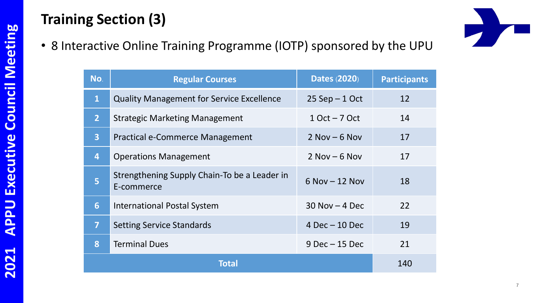### **Training Section (3)**

• 8 Interactive Online Training Programme (IOTP) sponsored by the UPU

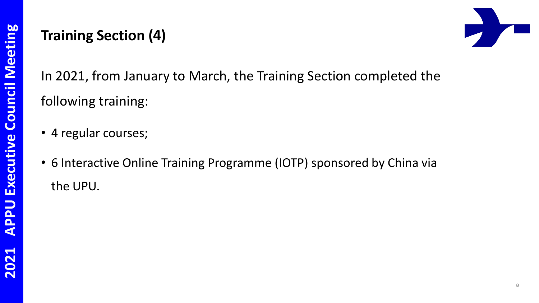#### **Training Section (4)**



In 2021, from January to March, the Training Section completed the following training:

- 4 regular courses;
- 6 Interactive Online Training Programme (IOTP) sponsored by China via the UPU.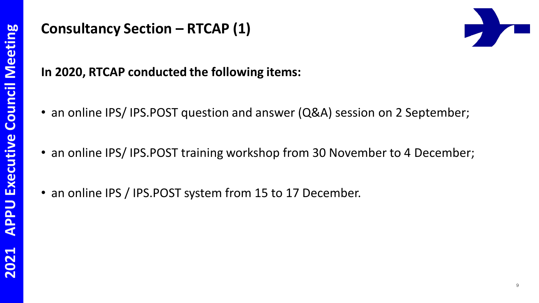#### **Consultancy Section – RTCAP (1)**



#### **In 2020, RTCAP conducted the following items:**

- an online IPS/ IPS.POST question and answer (Q&A) session on 2 September;
- an online IPS/IPS.POST training workshop from 30 November to 4 December;
- an online IPS / IPS.POST system from 15 to 17 December.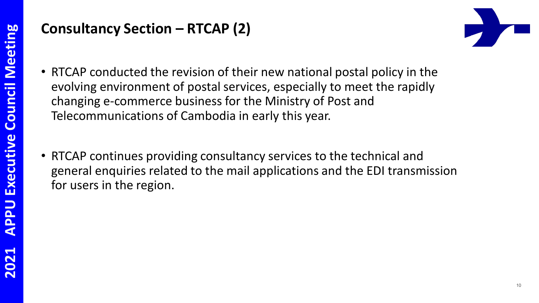#### **Consultancy Section – RTCAP (2)**



- RTCAP conducted the revision of their new national postal policy in the evolving environment of postal services, especially to meet the rapidly changing e-commerce business for the Ministry of Post and Telecommunications of Cambodia in early this year.
- RTCAP continues providing consultancy services to the technical and general enquiries related to the mail applications and the EDI transmission for users in the region.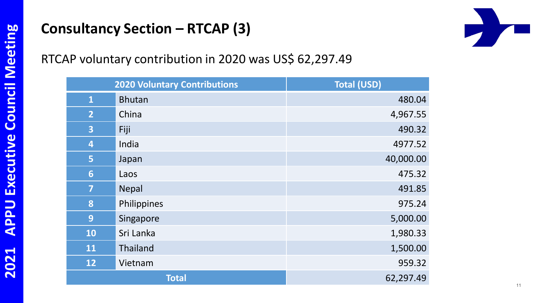### **Consultancy Section – RTCAP (3)**

# 

#### RTCAP voluntary contribution in 2020 was US\$ 62,297.49

| <b>2020 Voluntary Contributions</b> |               | <b>Total (USD)</b> |  |
|-------------------------------------|---------------|--------------------|--|
| $\overline{\mathbf{1}}$             | <b>Bhutan</b> | 480.04             |  |
| $\overline{2}$                      | China         | 4,967.55           |  |
| $\overline{\mathbf{3}}$             | Fiji          | 490.32             |  |
| $\overline{4}$                      | India         | 4977.52            |  |
| 5                                   | Japan         | 40,000.00          |  |
| $6\phantom{1}$                      | Laos          | 475.32             |  |
| $\overline{\mathbf{7}}$             | <b>Nepal</b>  | 491.85             |  |
| 8                                   | Philippines   | 975.24             |  |
| 9                                   | Singapore     | 5,000.00           |  |
| <b>10</b>                           | Sri Lanka     | 1,980.33           |  |
| 11                                  | Thailand      | 1,500.00           |  |
| 12                                  | Vietnam       | 959.32             |  |
|                                     | <b>Total</b>  | 62,297.49          |  |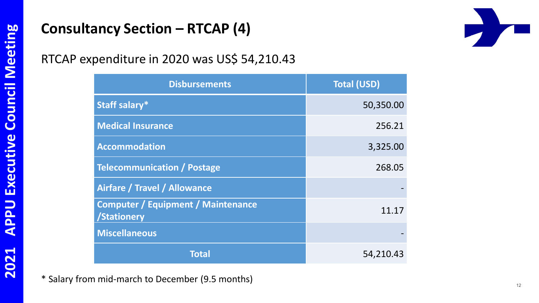#### **Consultancy Section – RTCAP (4)**

RTCAP expenditure in 2020 was US\$ 54,210.43

| <b>Disbursements</b>                                     | <b>Total (USD)</b> |
|----------------------------------------------------------|--------------------|
| Staff salary*                                            | 50,350.00          |
| <b>Medical Insurance</b>                                 | 256.21             |
| <b>Accommodation</b>                                     | 3,325.00           |
| <b>Telecommunication / Postage</b>                       | 268.05             |
| Airfare / Travel / Allowance                             |                    |
| <b>Computer / Equipment / Maintenance</b><br>/Stationery | 11.17              |
| <b>Miscellaneous</b>                                     |                    |
| Total                                                    | 54,210.43          |

\* Salary from mid-march to December (9.5 months)

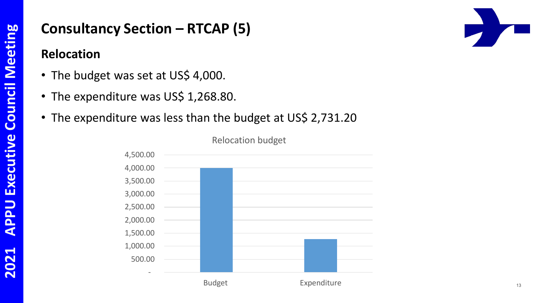#### **Consultancy Section – RTCAP (5)**

#### **Relocation**

- The budget was set at US\$ 4,000.
- The expenditure was US\$ 1,268.80.
- The expenditure was less than the budget at US\$ 2,731.20

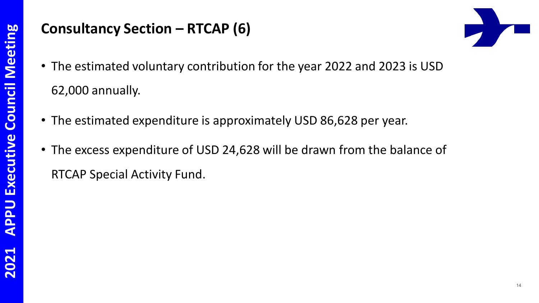#### **Consultancy Section – RTCAP (6)**



- The estimated voluntary contribution for the year 2022 and 2023 is USD 62,000 annually.
- The estimated expenditure is approximately USD 86,628 per year.
- The excess expenditure of USD 24,628 will be drawn from the balance of RTCAP Special Activity Fund.